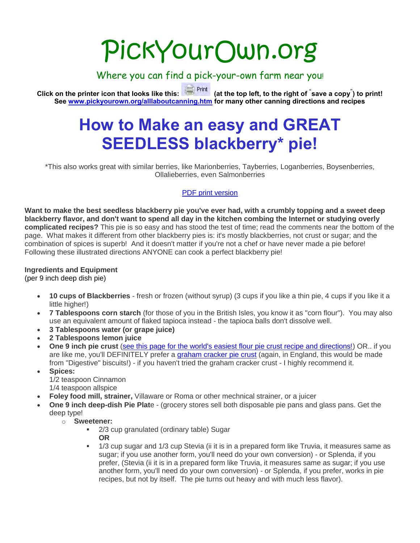# PickYourOwn.org

#### Where you can find a pick-your-own farm near you!

**Click on the printer icon that looks like this: (at the top left, to the right of " save a copy" ) to print! See [www.pickyourown.org/alllaboutcanning.htm](http://www.pickyourown.org/alllaboutcanning.htm) for many other canning directions and recipes** 

### **How to Make an easy and GREAT SEEDLESS blackberry\* pie!**

\*This also works great with similar berries, like Marionberries, Tayberries, Loganberries, Boysenberries, Ollalieberries, even Salmonberries

#### [PDF print version](file:///G:/websites2016/PYO2016/pdfs/blueberrypie.pdf)

**Want to make the best seedless blackberry pie you've ever had, with a crumbly topping and a sweet deep blackberry flavor, and don't want to spend all day in the kitchen combing the Internet or studying overly complicated recipes?** This pie is so easy and has stood the test of time; read the comments near the bottom of the page. What makes it different from other blackberry pies is: it's mostly blackberries, not crust or sugar; and the combination of spices is superb! And it doesn't matter if you're not a chef or have never made a pie before! Following these illustrated directions ANYONE can cook a perfect blackberry pie!

#### **Ingredients and Equipment**

(per 9 inch deep dish pie)

- **10 cups of Blackberries** fresh or frozen (without syrup) (3 cups if you like a thin pie, 4 cups if you like it a little higher!)
- **7 Tablespoons corn starch** (for those of you in the British Isles, you know it as "corn flour"). You may also use an equivalent amount of flaked tapioca instead - the tapioca balls don't dissolve well.
- **3 Tablespoons water (or grape juice)**
- **2 Tablespoons lemon juice**
- **One 9 inch pie crust** [\(see this page for the world's easiest flour pie crust recipe and directions!\)](file:///G:/websites2016/PYO2016/piecrust.php) OR.. if you are like me, you'll DEFINITELY prefer a [graham cracker pie crust](file:///G:/websites2016/PYO2016/grahamcrackerpiecrust.php) (again, in England, this would be made from "Digestive" biscuits!) - if you haven't tried the graham cracker crust - I highly recommend it.
- **Spices:** 1/2 teaspoon Cinnamon 1/4 teaspoon allspice
- **Foley food mill, strainer,** Villaware or Roma or other mechnical strainer, or a juicer
- **One 9 inch deep-dish Pie Plat**e (grocery stores sell both disposable pie pans and glass pans. Get the deep type!
	- o **Sweetener:**
		- <sup>2</sup>/3 cup granulated (ordinary table) Sugar **OR**
		- 1/3 cup sugar and 1/3 cup Stevia (ii it is in a prepared form like Truvia, it measures same as sugar; if you use another form, you'll need do your own conversion) - or Splenda, if you prefer, (Stevia (ii it is in a prepared form like Truvia, it measures same as sugar; if you use another form, you'll need do your own conversion) - or Splenda, if you prefer, works in pie recipes, but not by itself. The pie turns out heavy and with much less flavor).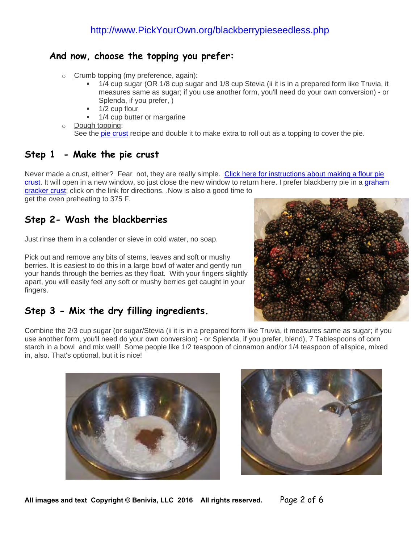#### **And now, choose the topping you prefer:**

- o Crumb topping (my preference, again):
	- 1/4 cup sugar (OR 1/8 cup sugar and 1/8 cup Stevia (ii it is in a prepared form like Truvia, it measures same as sugar; if you use another form, you'll need do your own conversion) - or Splenda, if you prefer, )
	- 1/2 cup flour
	- 1/4 cup butter or margarine
- o Dough topping:

See the [pie crust](file:///G:/websites2016/PYO2016/piecrust.php) recipe and double it to make extra to roll out as a topping to cover the pie.

#### **Step 1 - Make the pie crust**

Never made a crust, either? Fear not, they are really simple. Click here for instructions about making a flour pie [crust.](file:///G:/websites2016/PYO2016/piecrust.php) It will open in a new window, so just close the new window to return here. I prefer blackberry pie in a [graham](file:///G:/websites2016/PYO2016/grahamcrackerpiecrust.php)  [cracker crust;](file:///G:/websites2016/PYO2016/grahamcrackerpiecrust.php) click on the link for directions. .Now is also a good time to

get the oven preheating to 375 F.

#### **Step 2- Wash the blackberries**

Just rinse them in a colander or sieve in cold water, no soap.

Pick out and remove any bits of stems, leaves and soft or mushy berries. It is easiest to do this in a large bowl of water and gently run your hands through the berries as they float. With your fingers slightly apart, you will easily feel any soft or mushy berries get caught in your fingers.

#### **Step 3 - Mix the dry filling ingredients.**



Combine the 2/3 cup sugar (or sugar/Stevia (ii it is in a prepared form like Truvia, it measures same as sugar; if you use another form, you'll need do your own conversion) - or Splenda, if you prefer, blend), 7 Tablespoons of corn starch in a bowl and mix well! Some people like 1/2 teaspoon of cinnamon and/or 1/4 teaspoon of allspice, mixed in, also. That's optional, but it is nice!





**All images and text Copyright © Benivia, LLC 2016 All rights reserved.** Page 2 of 6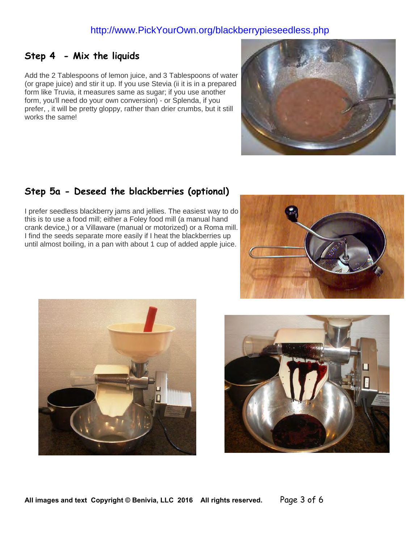#### **Step 4 - Mix the liquids**

Add the 2 Tablespoons of lemon juice, and 3 Tablespoons of water (or grape juice) and stir it up. If you use Stevia (ii it is in a prepared form like Truvia, it measures same as sugar; if you use another form, you'll need do your own conversion) - or Splenda, if you prefer, , it will be pretty gloppy, rather than drier crumbs, but it still works the same!



#### **Step 5a - Deseed the blackberries (optional)**

I prefer seedless blackberry jams and jellies. The easiest way to do this is to use a food mill; either a Foley food mill (a manual hand crank device,) or a Villaware (manual or motorized) or a Roma mill. I find the seeds separate more easily if I heat the blackberries up until almost boiling, in a pan with about 1 cup of added apple juice.





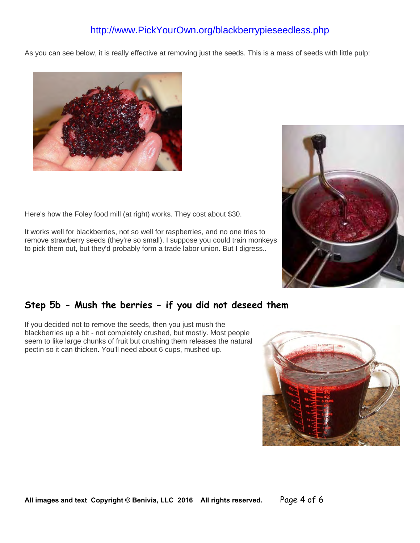As you can see below, it is really effective at removing just the seeds. This is a mass of seeds with little pulp:



Here's how the Foley food mill (at right) works. They cost about \$30.

It works well for blackberries, not so well for raspberries, and no one tries to remove strawberry seeds (they're so small). I suppose you could train monkeys to pick them out, but they'd probably form a trade labor union. But I digress..

#### **Step 5b - Mush the berries - if you did not deseed them**

If you decided not to remove the seeds, then you just mush the blackberries up a bit - not completely crushed, but mostly. Most people seem to like large chunks of fruit but crushing them releases the natural pectin so it can thicken. You'll need about 6 cups, mushed up.



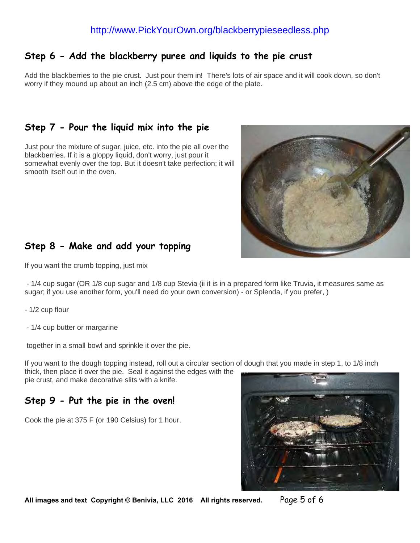#### **Step 6 - Add the blackberry puree and liquids to the pie crust**

Add the blackberries to the pie crust. Just pour them in! There's lots of air space and it will cook down, so don't worry if they mound up about an inch (2.5 cm) above the edge of the plate.

#### **Step 7 - Pour the liquid mix into the pie**

Just pour the mixture of sugar, juice, etc. into the pie all over the blackberries. If it is a gloppy liquid, don't worry, just pour it somewhat evenly over the top. But it doesn't take perfection; it will smooth itself out in the oven.



#### **Step 8 - Make and add your topping**

If you want the crumb topping, just mix

 - 1/4 cup sugar (OR 1/8 cup sugar and 1/8 cup Stevia (ii it is in a prepared form like Truvia, it measures same as sugar; if you use another form, you'll need do your own conversion) - or Splenda, if you prefer, )

- 1/2 cup flour
- 1/4 cup butter or margarine

together in a small bowl and sprinkle it over the pie.

If you want to the dough topping instead, roll out a circular section of dough that you made in step 1, to 1/8 inch thick, then place it over the pie. Seal it against the edges with the pie crust, and make decorative slits with a knife.

#### **Step 9 - Put the pie in the oven!**

Cook the pie at 375 F (or 190 Celsius) for 1 hour.



**All images and text Copyright © Benivia, LLC 2016 All rights reserved.** Page 5 of 6